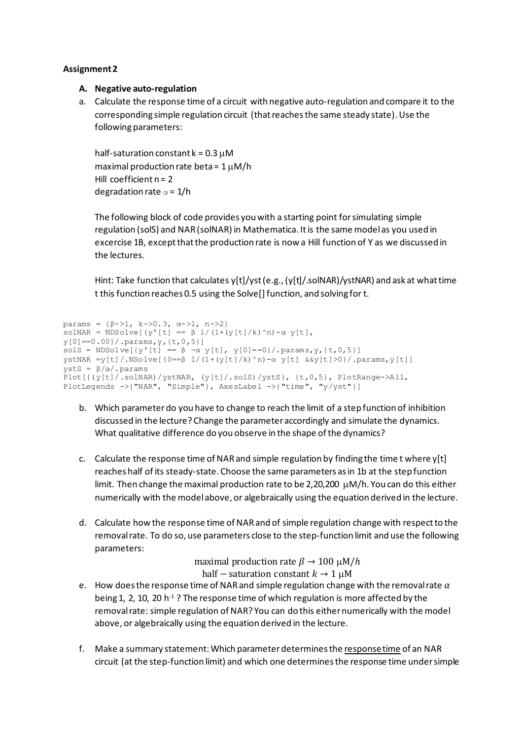## **Assignment 2**

## **A. Negative auto-regulation**

a. Calculate the response time of a circuit with negative auto-regulation and compare it to the corresponding simple regulation circuit (that reaches the same steady state). Use the following parameters:

half-saturation constant  $k = 0.3 \mu M$ maximal production rate beta =  $1 \mu M/h$ Hill coefficient  $n = 2$ degradation rate  $\alpha = 1/h$ 

The following block of code provides you with a starting point for simulating simple regulation (solS) and NAR (solNAR) in Mathematica. It is the same model as you used in excercise 1B, except that the production rate is now a Hill function of Y as we discussed in the lectures.

Hint: Take function that calculates y[t]/yst (e.g., (y[t]/.solNAR)/ystNAR) and ask at what time t this function reaches 0.5 using the Solve[] function, and solving for t.

```
params = {β->1, k->0.3, α->1, n->2}
solNAR = NDSolve[y'[t] == \beta 1/(1+(y[t]/k)^n n)-\alpha y[t],y[0]==0.00}/.params,y,{t,0,5}]
solS = NDSolve[{y'[t] == \beta -\alpha y[t], y[0]==0}/.params,y,{t,0,5}]
ystNAR =y[t]/.NSolve[{0==β 1/(1+(y[t]/k)^n)-α y[t] &&y[t]>0}/.params,y[t]]
ystS = β/α/.params
Plot[{(y[t]/.solNAR)/ystNAR, (y[t]/.solS)/ystS}, {t,0,5}, PlotRange->All, 
PlotLegends ->{"NAR", "Simple"}, AxesLabel ->{"time", "y/yst"}]
```
- b. Which parameter do you have to change to reach the limit of a step function of inhibition discussed in the lecture? Change the parameter accordingly and simulate the dynamics. What qualitative difference do you observe in the shape of the dynamics?
- c. Calculate the response time of NAR and simple regulation by finding the time t where  $y[t]$ reaches half of its steady-state. Choose the same parameters as in 1b at the step function limit. Then change the maximal production rate to be 2,20,200  $\mu$ M/h. You can do this either numerically with the model above, or algebraically using the equation derived in the lecture.
- d. Calculate how the response time of NAR and of simple regulation change with respect to the removal rate. To do so, use parameters close to the step-function limit and use the following parameters:

maximal production rate  $\beta \rightarrow 100 \mu M/h$ half – saturation constant  $k \to 1 \mu M$ 

- e. How does the response time of NAR and simple regulation change with the removal rate  $\alpha$ being 1, 2, 10, 20 h<sup>-1</sup>? The response time of which regulation is more affected by the removal rate: simple regulation of NAR? You can do this either numerically with the model above, or algebraically using the equation derived in the lecture.
- f. Make a summary statement: Which parameter determines the response time of an NAR circuit (at the step-function limit) and which one determines the response time under simple